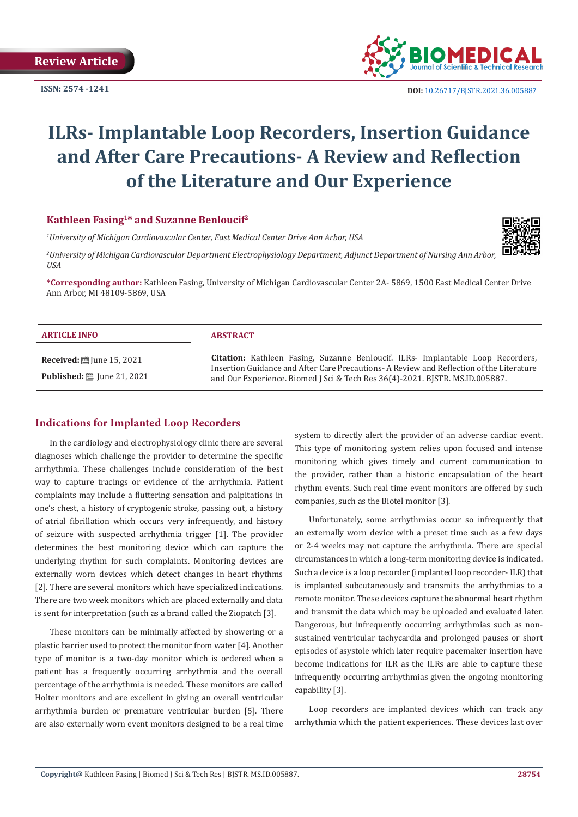**ISSN: 2574 -1241**



 **DOI:** [10.26717/BJSTR.2021.36.005887](https://dx.doi.org/10.26717/BJSTR.2021.36.005887)

# **ILRs- Implantable Loop Recorders, Insertion Guidance and After Care Precautions- A Review and Reflection of the Literature and Our Experience**

## **Kathleen Fasing1\* and Suzanne Benloucif2**

*1 University of Michigan Cardiovascular Center, East Medical Center Drive Ann Arbor, USA*

*2 University of Michigan Cardiovascular Department Electrophysiology Department, Adjunct Department of Nursing Ann Arbor, USA*

**\*Corresponding author:** Kathleen Fasing, University of Michigan Cardiovascular Center 2A- 5869, 1500 East Medical Center Drive Ann Arbor, MI 48109-5869, USA

| <b>ARTICLE INFO</b>                                                          | <b>ABSTRACT</b>                                                                                                                                                                                                                                                   |
|------------------------------------------------------------------------------|-------------------------------------------------------------------------------------------------------------------------------------------------------------------------------------------------------------------------------------------------------------------|
| Received: $\ddot{\equiv}$ June 15, 2021<br><b>Published:</b> ■ June 21, 2021 | <b>Citation:</b> Kathleen Fasing, Suzanne Benloucif. ILRs- Implantable Loop Recorders,<br>Insertion Guidance and After Care Precautions-A Review and Reflection of the Literature<br>and Our Experience. Biomed J Sci & Tech Res 36(4)-2021. BISTR. MS.ID.005887. |

## **Indications for Implanted Loop Recorders**

In the cardiology and electrophysiology clinic there are several diagnoses which challenge the provider to determine the specific arrhythmia. These challenges include consideration of the best way to capture tracings or evidence of the arrhythmia. Patient complaints may include a fluttering sensation and palpitations in one's chest, a history of cryptogenic stroke, passing out, a history of atrial fibrillation which occurs very infrequently, and history of seizure with suspected arrhythmia trigger [1]. The provider determines the best monitoring device which can capture the underlying rhythm for such complaints. Monitoring devices are externally worn devices which detect changes in heart rhythms [2]. There are several monitors which have specialized indications. There are two week monitors which are placed externally and data is sent for interpretation (such as a brand called the Ziopatch [3].

These monitors can be minimally affected by showering or a plastic barrier used to protect the monitor from water [4]. Another type of monitor is a two-day monitor which is ordered when a patient has a frequently occurring arrhythmia and the overall percentage of the arrhythmia is needed. These monitors are called Holter monitors and are excellent in giving an overall ventricular arrhythmia burden or premature ventricular burden [5]. There are also externally worn event monitors designed to be a real time system to directly alert the provider of an adverse cardiac event. This type of monitoring system relies upon focused and intense monitoring which gives timely and current communication to the provider, rather than a historic encapsulation of the heart rhythm events. Such real time event monitors are offered by such companies, such as the Biotel monitor [3].

Unfortunately, some arrhythmias occur so infrequently that an externally worn device with a preset time such as a few days or 2-4 weeks may not capture the arrhythmia. There are special circumstances in which a long-term monitoring device is indicated. Such a device is a loop recorder (implanted loop recorder- ILR) that is implanted subcutaneously and transmits the arrhythmias to a remote monitor. These devices capture the abnormal heart rhythm and transmit the data which may be uploaded and evaluated later. Dangerous, but infrequently occurring arrhythmias such as nonsustained ventricular tachycardia and prolonged pauses or short episodes of asystole which later require pacemaker insertion have become indications for ILR as the ILRs are able to capture these infrequently occurring arrhythmias given the ongoing monitoring capability [3].

Loop recorders are implanted devices which can track any arrhythmia which the patient experiences. These devices last over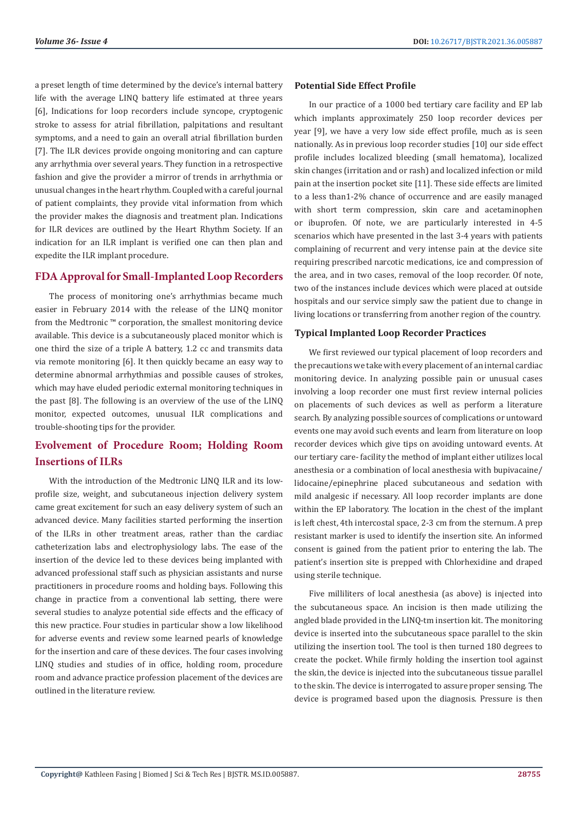a preset length of time determined by the device's internal battery life with the average LINQ battery life estimated at three years [6], Indications for loop recorders include syncope, cryptogenic stroke to assess for atrial fibrillation, palpitations and resultant symptoms, and a need to gain an overall atrial fibrillation burden [7]. The ILR devices provide ongoing monitoring and can capture any arrhythmia over several years. They function in a retrospective fashion and give the provider a mirror of trends in arrhythmia or unusual changes in the heart rhythm. Coupled with a careful journal of patient complaints, they provide vital information from which the provider makes the diagnosis and treatment plan. Indications for ILR devices are outlined by the Heart Rhythm Society. If an indication for an ILR implant is verified one can then plan and expedite the ILR implant procedure.

## **FDA Approval for Small-Implanted Loop Recorders**

The process of monitoring one's arrhythmias became much easier in February 2014 with the release of the LINQ monitor from the Medtronic ™ corporation, the smallest monitoring device available. This device is a subcutaneously placed monitor which is one third the size of a triple A battery, 1.2 cc and transmits data via remote monitoring [6]. It then quickly became an easy way to determine abnormal arrhythmias and possible causes of strokes, which may have eluded periodic external monitoring techniques in the past [8]. The following is an overview of the use of the LINQ monitor, expected outcomes, unusual ILR complications and trouble-shooting tips for the provider.

# **Evolvement of Procedure Room; Holding Room Insertions of ILRs**

With the introduction of the Medtronic LINQ ILR and its lowprofile size, weight, and subcutaneous injection delivery system came great excitement for such an easy delivery system of such an advanced device. Many facilities started performing the insertion of the ILRs in other treatment areas, rather than the cardiac catheterization labs and electrophysiology labs. The ease of the insertion of the device led to these devices being implanted with advanced professional staff such as physician assistants and nurse practitioners in procedure rooms and holding bays. Following this change in practice from a conventional lab setting, there were several studies to analyze potential side effects and the efficacy of this new practice. Four studies in particular show a low likelihood for adverse events and review some learned pearls of knowledge for the insertion and care of these devices. The four cases involving LINQ studies and studies of in office, holding room, procedure room and advance practice profession placement of the devices are outlined in the literature review.

### **Potential Side Effect Profile**

In our practice of a 1000 bed tertiary care facility and EP lab which implants approximately 250 loop recorder devices per year [9], we have a very low side effect profile, much as is seen nationally. As in previous loop recorder studies [10] our side effect profile includes localized bleeding (small hematoma), localized skin changes (irritation and or rash) and localized infection or mild pain at the insertion pocket site [11]. These side effects are limited to a less than1-2% chance of occurrence and are easily managed with short term compression, skin care and acetaminophen or ibuprofen. Of note, we are particularly interested in 4-5 scenarios which have presented in the last 3-4 years with patients complaining of recurrent and very intense pain at the device site requiring prescribed narcotic medications, ice and compression of the area, and in two cases, removal of the loop recorder. Of note, two of the instances include devices which were placed at outside hospitals and our service simply saw the patient due to change in living locations or transferring from another region of the country.

#### **Typical Implanted Loop Recorder Practices**

We first reviewed our typical placement of loop recorders and the precautions we take with every placement of an internal cardiac monitoring device. In analyzing possible pain or unusual cases involving a loop recorder one must first review internal policies on placements of such devices as well as perform a literature search. By analyzing possible sources of complications or untoward events one may avoid such events and learn from literature on loop recorder devices which give tips on avoiding untoward events. At our tertiary care- facility the method of implant either utilizes local anesthesia or a combination of local anesthesia with bupivacaine/ lidocaine/epinephrine placed subcutaneous and sedation with mild analgesic if necessary. All loop recorder implants are done within the EP laboratory. The location in the chest of the implant is left chest, 4th intercostal space, 2-3 cm from the sternum. A prep resistant marker is used to identify the insertion site. An informed consent is gained from the patient prior to entering the lab. The patient's insertion site is prepped with Chlorhexidine and draped using sterile technique.

Five milliliters of local anesthesia (as above) is injected into the subcutaneous space. An incision is then made utilizing the angled blade provided in the LINQ-tm insertion kit. The monitoring device is inserted into the subcutaneous space parallel to the skin utilizing the insertion tool. The tool is then turned 180 degrees to create the pocket. While firmly holding the insertion tool against the skin, the device is injected into the subcutaneous tissue parallel to the skin. The device is interrogated to assure proper sensing. The device is programed based upon the diagnosis. Pressure is then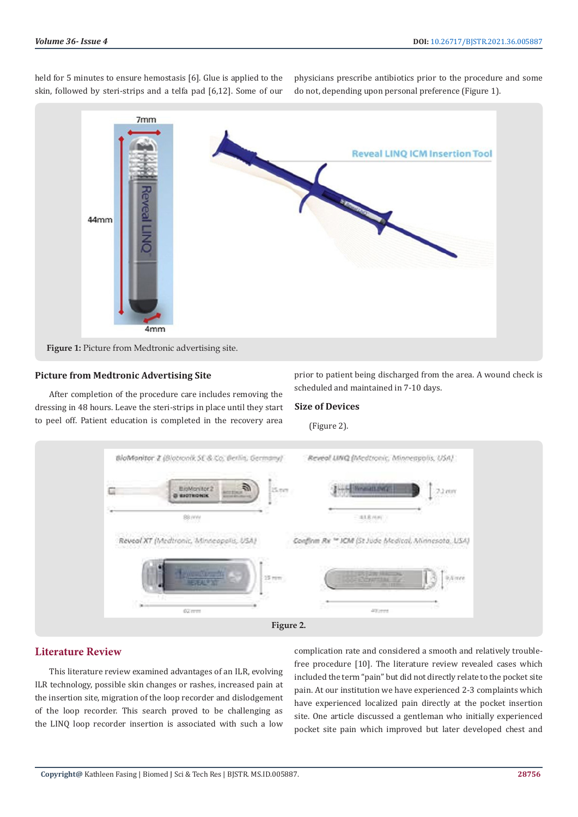held for 5 minutes to ensure hemostasis [6]. Glue is applied to the skin, followed by steri-strips and a telfa pad [6,12]. Some of our physicians prescribe antibiotics prior to the procedure and some do not, depending upon personal preference (Figure 1).



#### **Picture from Medtronic Advertising Site**

After completion of the procedure care includes removing the dressing in 48 hours. Leave the steri-strips in place until they start to peel off. Patient education is completed in the recovery area

prior to patient being discharged from the area. A wound check is scheduled and maintained in 7-10 days.

#### **Size of Devices**

(Figure 2).



## **Literature Review**

This literature review examined advantages of an ILR, evolving ILR technology, possible skin changes or rashes, increased pain at the insertion site, migration of the loop recorder and dislodgement of the loop recorder. This search proved to be challenging as the LINQ loop recorder insertion is associated with such a low

complication rate and considered a smooth and relatively troublefree procedure [10]. The literature review revealed cases which included the term "pain" but did not directly relate to the pocket site pain. At our institution we have experienced 2-3 complaints which have experienced localized pain directly at the pocket insertion site. One article discussed a gentleman who initially experienced pocket site pain which improved but later developed chest and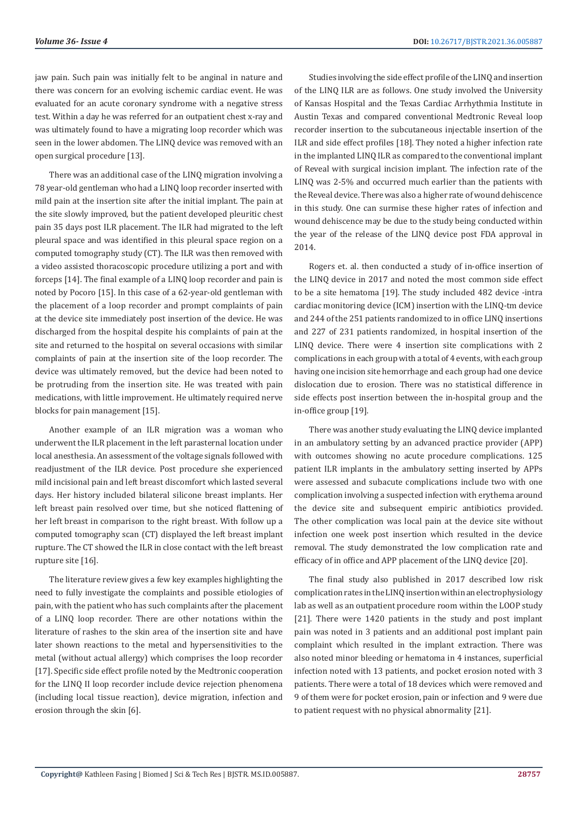jaw pain. Such pain was initially felt to be anginal in nature and there was concern for an evolving ischemic cardiac event. He was evaluated for an acute coronary syndrome with a negative stress test. Within a day he was referred for an outpatient chest x-ray and was ultimately found to have a migrating loop recorder which was seen in the lower abdomen. The LINQ device was removed with an open surgical procedure [13].

There was an additional case of the LINQ migration involving a 78 year-old gentleman who had a LINQ loop recorder inserted with mild pain at the insertion site after the initial implant. The pain at the site slowly improved, but the patient developed pleuritic chest pain 35 days post ILR placement. The ILR had migrated to the left pleural space and was identified in this pleural space region on a computed tomography study (CT). The ILR was then removed with a video assisted thoracoscopic procedure utilizing a port and with forceps [14]. The final example of a LINQ loop recorder and pain is noted by Pocoro [15]. In this case of a 62-year-old gentleman with the placement of a loop recorder and prompt complaints of pain at the device site immediately post insertion of the device. He was discharged from the hospital despite his complaints of pain at the site and returned to the hospital on several occasions with similar complaints of pain at the insertion site of the loop recorder. The device was ultimately removed, but the device had been noted to be protruding from the insertion site. He was treated with pain medications, with little improvement. He ultimately required nerve blocks for pain management [15].

Another example of an ILR migration was a woman who underwent the ILR placement in the left parasternal location under local anesthesia. An assessment of the voltage signals followed with readjustment of the ILR device. Post procedure she experienced mild incisional pain and left breast discomfort which lasted several days. Her history included bilateral silicone breast implants. Her left breast pain resolved over time, but she noticed flattening of her left breast in comparison to the right breast. With follow up a computed tomography scan (CT) displayed the left breast implant rupture. The CT showed the ILR in close contact with the left breast rupture site [16].

The literature review gives a few key examples highlighting the need to fully investigate the complaints and possible etiologies of pain, with the patient who has such complaints after the placement of a LINQ loop recorder. There are other notations within the literature of rashes to the skin area of the insertion site and have later shown reactions to the metal and hypersensitivities to the metal (without actual allergy) which comprises the loop recorder [17]. Specific side effect profile noted by the Medtronic cooperation for the LINQ II loop recorder include device rejection phenomena (including local tissue reaction), device migration, infection and erosion through the skin [6].

Studies involving the side effect profile of the LINQ and insertion of the LINQ ILR are as follows. One study involved the University of Kansas Hospital and the Texas Cardiac Arrhythmia Institute in Austin Texas and compared conventional Medtronic Reveal loop recorder insertion to the subcutaneous injectable insertion of the ILR and side effect profiles [18]. They noted a higher infection rate in the implanted LINQ ILR as compared to the conventional implant of Reveal with surgical incision implant. The infection rate of the LINQ was 2-5% and occurred much earlier than the patients with the Reveal device. There was also a higher rate of wound dehiscence in this study. One can surmise these higher rates of infection and wound dehiscence may be due to the study being conducted within the year of the release of the LINQ device post FDA approval in 2014.

Rogers et. al. then conducted a study of in-office insertion of the LINQ device in 2017 and noted the most common side effect to be a site hematoma [19]. The study included 482 device -intra cardiac monitoring device (ICM) insertion with the LINQ-tm device and 244 of the 251 patients randomized to in office LINQ insertions and 227 of 231 patients randomized, in hospital insertion of the LINQ device. There were 4 insertion site complications with 2 complications in each group with a total of 4 events, with each group having one incision site hemorrhage and each group had one device dislocation due to erosion. There was no statistical difference in side effects post insertion between the in-hospital group and the in-office group [19].

There was another study evaluating the LINQ device implanted in an ambulatory setting by an advanced practice provider (APP) with outcomes showing no acute procedure complications. 125 patient ILR implants in the ambulatory setting inserted by APPs were assessed and subacute complications include two with one complication involving a suspected infection with erythema around the device site and subsequent empiric antibiotics provided. The other complication was local pain at the device site without infection one week post insertion which resulted in the device removal. The study demonstrated the low complication rate and efficacy of in office and APP placement of the LINQ device [20].

The final study also published in 2017 described low risk complication rates in the LINQ insertion within an electrophysiology lab as well as an outpatient procedure room within the LOOP study [21]. There were 1420 patients in the study and post implant pain was noted in 3 patients and an additional post implant pain complaint which resulted in the implant extraction. There was also noted minor bleeding or hematoma in 4 instances, superficial infection noted with 13 patients, and pocket erosion noted with 3 patients. There were a total of 18 devices which were removed and 9 of them were for pocket erosion, pain or infection and 9 were due to patient request with no physical abnormality [21].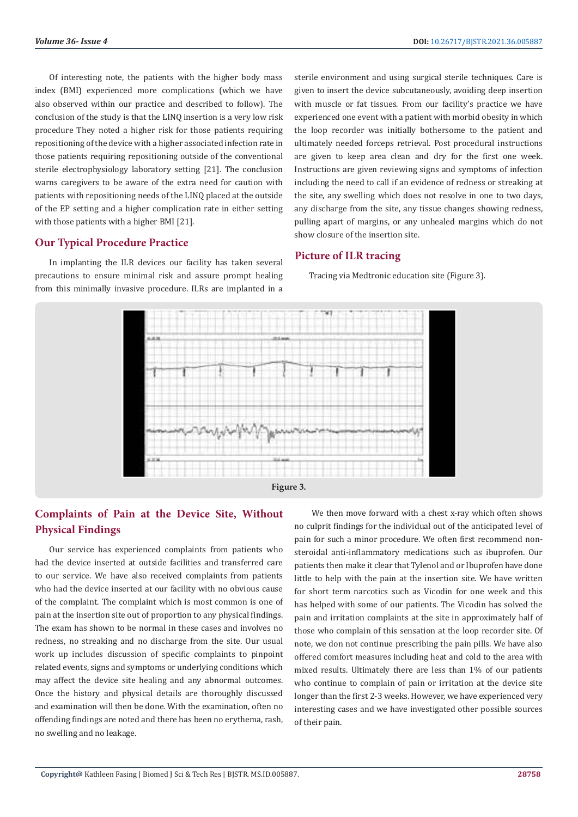Of interesting note, the patients with the higher body mass index (BMI) experienced more complications (which we have also observed within our practice and described to follow). The conclusion of the study is that the LINQ insertion is a very low risk procedure They noted a higher risk for those patients requiring repositioning of the device with a higher associated infection rate in those patients requiring repositioning outside of the conventional sterile electrophysiology laboratory setting [21]. The conclusion warns caregivers to be aware of the extra need for caution with patients with repositioning needs of the LINQ placed at the outside of the EP setting and a higher complication rate in either setting with those patients with a higher BMI [21].

## **Our Typical Procedure Practice**

In implanting the ILR devices our facility has taken several precautions to ensure minimal risk and assure prompt healing from this minimally invasive procedure. ILRs are implanted in a

sterile environment and using surgical sterile techniques. Care is given to insert the device subcutaneously, avoiding deep insertion with muscle or fat tissues. From our facility's practice we have experienced one event with a patient with morbid obesity in which the loop recorder was initially bothersome to the patient and ultimately needed forceps retrieval. Post procedural instructions are given to keep area clean and dry for the first one week. Instructions are given reviewing signs and symptoms of infection including the need to call if an evidence of redness or streaking at the site, any swelling which does not resolve in one to two days, any discharge from the site, any tissue changes showing redness, pulling apart of margins, or any unhealed margins which do not show closure of the insertion site.

### **Picture of ILR tracing**

Tracing via Medtronic education site (Figure 3).



## **Complaints of Pain at the Device Site, Without Physical Findings**

Our service has experienced complaints from patients who had the device inserted at outside facilities and transferred care to our service. We have also received complaints from patients who had the device inserted at our facility with no obvious cause of the complaint. The complaint which is most common is one of pain at the insertion site out of proportion to any physical findings. The exam has shown to be normal in these cases and involves no redness, no streaking and no discharge from the site. Our usual work up includes discussion of specific complaints to pinpoint related events, signs and symptoms or underlying conditions which may affect the device site healing and any abnormal outcomes. Once the history and physical details are thoroughly discussed and examination will then be done. With the examination, often no offending findings are noted and there has been no erythema, rash, no swelling and no leakage.

 We then move forward with a chest x-ray which often shows no culprit findings for the individual out of the anticipated level of pain for such a minor procedure. We often first recommend nonsteroidal anti-inflammatory medications such as ibuprofen. Our patients then make it clear that Tylenol and or Ibuprofen have done little to help with the pain at the insertion site. We have written for short term narcotics such as Vicodin for one week and this has helped with some of our patients. The Vicodin has solved the pain and irritation complaints at the site in approximately half of those who complain of this sensation at the loop recorder site. Of note, we don not continue prescribing the pain pills. We have also offered comfort measures including heat and cold to the area with mixed results. Ultimately there are less than 1% of our patients who continue to complain of pain or irritation at the device site longer than the first 2-3 weeks. However, we have experienced very interesting cases and we have investigated other possible sources of their pain.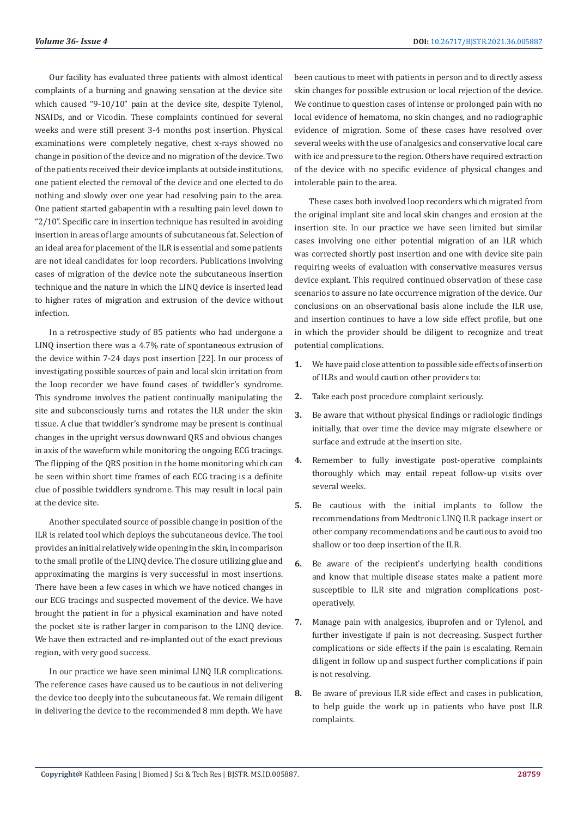Our facility has evaluated three patients with almost identical complaints of a burning and gnawing sensation at the device site which caused "9-10/10" pain at the device site, despite Tylenol, NSAIDs, and or Vicodin. These complaints continued for several weeks and were still present 3-4 months post insertion. Physical examinations were completely negative, chest x-rays showed no change in position of the device and no migration of the device. Two of the patients received their device implants at outside institutions, one patient elected the removal of the device and one elected to do nothing and slowly over one year had resolving pain to the area. One patient started gabapentin with a resulting pain level down to "2/10". Specific care in insertion technique has resulted in avoiding insertion in areas of large amounts of subcutaneous fat. Selection of an ideal area for placement of the ILR is essential and some patients are not ideal candidates for loop recorders. Publications involving cases of migration of the device note the subcutaneous insertion technique and the nature in which the LINQ device is inserted lead to higher rates of migration and extrusion of the device without infection.

In a retrospective study of 85 patients who had undergone a LINQ insertion there was a 4.7% rate of spontaneous extrusion of the device within 7-24 days post insertion [22]. In our process of investigating possible sources of pain and local skin irritation from the loop recorder we have found cases of twiddler's syndrome. This syndrome involves the patient continually manipulating the site and subconsciously turns and rotates the ILR under the skin tissue. A clue that twiddler's syndrome may be present is continual changes in the upright versus downward QRS and obvious changes in axis of the waveform while monitoring the ongoing ECG tracings. The flipping of the QRS position in the home monitoring which can be seen within short time frames of each ECG tracing is a definite clue of possible twiddlers syndrome. This may result in local pain at the device site.

Another speculated source of possible change in position of the ILR is related tool which deploys the subcutaneous device. The tool provides an initial relatively wide opening in the skin, in comparison to the small profile of the LINQ device. The closure utilizing glue and approximating the margins is very successful in most insertions. There have been a few cases in which we have noticed changes in our ECG tracings and suspected movement of the device. We have brought the patient in for a physical examination and have noted the pocket site is rather larger in comparison to the LINQ device. We have then extracted and re-implanted out of the exact previous region, with very good success.

In our practice we have seen minimal LINQ ILR complications. The reference cases have caused us to be cautious in not delivering the device too deeply into the subcutaneous fat. We remain diligent in delivering the device to the recommended 8 mm depth. We have been cautious to meet with patients in person and to directly assess skin changes for possible extrusion or local rejection of the device. We continue to question cases of intense or prolonged pain with no local evidence of hematoma, no skin changes, and no radiographic evidence of migration. Some of these cases have resolved over several weeks with the use of analgesics and conservative local care with ice and pressure to the region. Others have required extraction of the device with no specific evidence of physical changes and intolerable pain to the area.

These cases both involved loop recorders which migrated from the original implant site and local skin changes and erosion at the insertion site. In our practice we have seen limited but similar cases involving one either potential migration of an ILR which was corrected shortly post insertion and one with device site pain requiring weeks of evaluation with conservative measures versus device explant. This required continued observation of these case scenarios to assure no late occurrence migration of the device. Our conclusions on an observational basis alone include the ILR use, and insertion continues to have a low side effect profile, but one in which the provider should be diligent to recognize and treat potential complications.

- **1.** We have paid close attention to possible side effects of insertion of ILRs and would caution other providers to:
- **2.** Take each post procedure complaint seriously.
- **3.** Be aware that without physical findings or radiologic findings initially, that over time the device may migrate elsewhere or surface and extrude at the insertion site.
- **4.** Remember to fully investigate post-operative complaints thoroughly which may entail repeat follow-up visits over several weeks.
- **5.** Be cautious with the initial implants to follow the recommendations from Medtronic LINQ ILR package insert or other company recommendations and be cautious to avoid too shallow or too deep insertion of the ILR.
- **6.** Be aware of the recipient's underlying health conditions and know that multiple disease states make a patient more susceptible to ILR site and migration complications postoperatively.
- **7.** Manage pain with analgesics, ibuprofen and or Tylenol, and further investigate if pain is not decreasing. Suspect further complications or side effects if the pain is escalating. Remain diligent in follow up and suspect further complications if pain is not resolving.
- **8.** Be aware of previous ILR side effect and cases in publication, to help guide the work up in patients who have post ILR complaints.